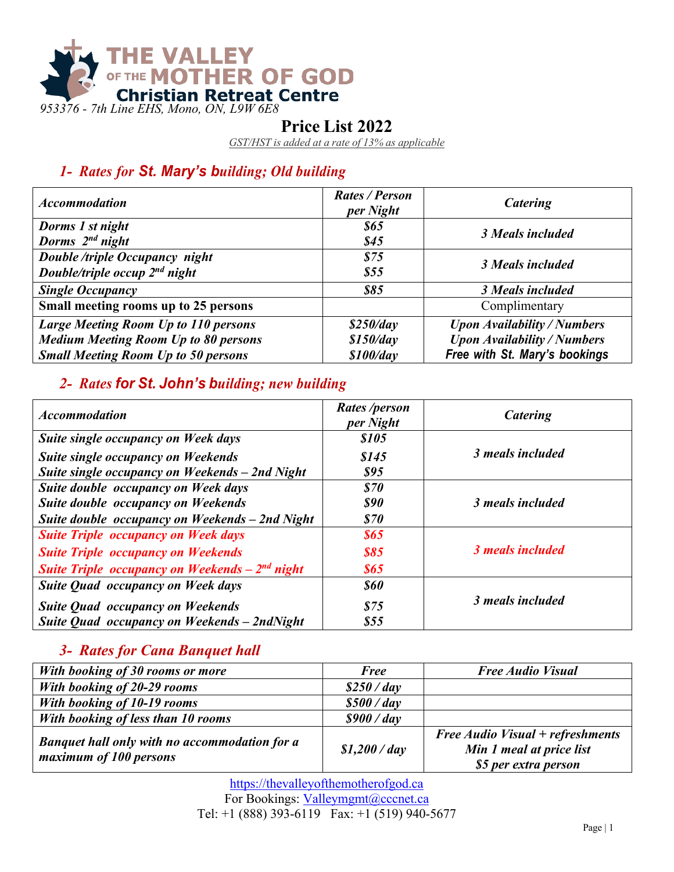

### **Price List 2022**

*GST/HST is added at a rate of 13% as applicable*

# *1- Rates for St. Mary's building; Old building*

| <b>Accommodation</b>                                                                                                                     | <b>Rates / Person</b><br>per Night  | Catering                                                                                                  |
|------------------------------------------------------------------------------------------------------------------------------------------|-------------------------------------|-----------------------------------------------------------------------------------------------------------|
| Dorms 1 st night<br>Dorms 2 <sup>nd</sup> night                                                                                          | \$65<br>\$45                        | 3 Meals included                                                                                          |
| <b>Double/triple Occupancy night</b><br>Double/triple occup 2 <sup>nd</sup> night                                                        | \$75<br>\$55                        | 3 Meals included                                                                                          |
| <b>Single Occupancy</b>                                                                                                                  | \$85                                | 3 Meals included                                                                                          |
| Small meeting rooms up to 25 persons                                                                                                     |                                     | Complimentary                                                                                             |
| <b>Large Meeting Room Up to 110 persons</b><br><b>Medium Meeting Room Up to 80 persons</b><br><b>Small Meeting Room Up to 50 persons</b> | \$250/day<br>\$150/day<br>\$100/day | <b>Upon Availability / Numbers</b><br><b>Upon Availability / Numbers</b><br>Free with St. Mary's bookings |

# *2- Rates for St. John's building; new building*

| <b>Accommodation</b>                               | <i>Rates/person</i><br>per Night | <b>Catering</b>  |
|----------------------------------------------------|----------------------------------|------------------|
| Suite single occupancy on Week days                | <i><b>\$105</b></i>              |                  |
| <b>Suite single occupancy on Weekends</b>          | \$145                            | 3 meals included |
| Suite single occupancy on Weekends - 2nd Night     | <b>\$95</b>                      |                  |
| Suite double occupancy on Week days                | \$70                             |                  |
| Suite double occupancy on Weekends                 | <b>\$90</b>                      | 3 meals included |
| Suite double occupancy on Weekends - 2nd Night     | \$70                             |                  |
| <b>Suite Triple occupancy on Week days</b>         | <b>\$65</b>                      |                  |
| <b>Suite Triple occupancy on Weekends</b>          | <b>\$85</b>                      | 3 meals included |
| Suite Triple occupancy on Weekends $-2^{nd}$ night | <b>\$65</b>                      |                  |
| <b>Suite Quad occupancy on Week days</b>           | <b>\$60</b>                      |                  |
| <b>Suite Quad occupancy on Weekends</b>            | \$75                             | 3 meals included |
| Suite Quad occupancy on Weekends - 2ndNight        | \$55                             |                  |

### *3- Rates for Cana Banquet hall*

| With booking of 30 rooms or more                                        | <b>Free</b>    | <b>Free Audio Visual</b>                                                                    |
|-------------------------------------------------------------------------|----------------|---------------------------------------------------------------------------------------------|
| With booking of 20-29 rooms                                             | $$250$ / day   |                                                                                             |
| With booking of 10-19 rooms                                             | $$500$ / day   |                                                                                             |
| With booking of less than 10 rooms                                      | $$900$ / day   |                                                                                             |
| Banquet hall only with no accommodation for a<br>maximum of 100 persons | $$1,200$ / day | <b>Free Audio Visual + refreshments</b><br>Min 1 meal at price list<br>\$5 per extra person |

https://thevalleyofthemotherofgod.ca For Bookings: Valleymgmt@cccnet.ca Tel: +1 (888) 393-6119 Fax: +1 (519) 940-5677